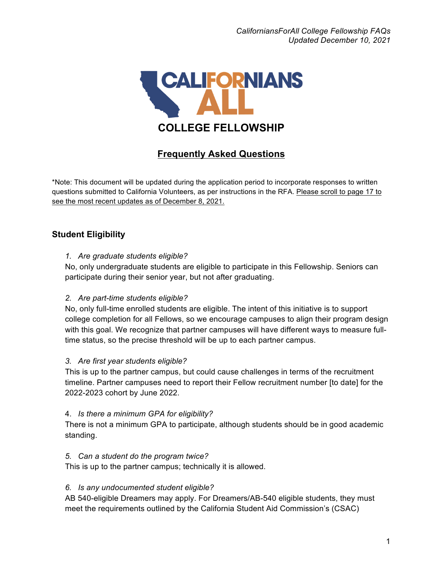

# **Frequently Asked Questions**

\*Note: This document will be updated during the application period to incorporate responses to written questions submitted to California Volunteers, as per instructions in the RFA. Please scroll to page 17 to see the most recent updates as of December 8, 2021.

## **Student Eligibility**

#### *1. Are graduate students eligible?*

No, only undergraduate students are eligible to participate in this Fellowship. Seniors can participate during their senior year, but not after graduating.

#### *2. Are part-time students eligible?*

No, only full-time enrolled students are eligible. The intent of this initiative is to support college completion for all Fellows, so we encourage campuses to align their program design with this goal. We recognize that partner campuses will have different ways to measure fulltime status, so the precise threshold will be up to each partner campus.

#### *3. Are first year students eligible?*

This is up to the partner campus, but could cause challenges in terms of the recruitment timeline. Partner campuses need to report their Fellow recruitment number [to date] for the 2022-2023 cohort by June 2022.

#### 4. *Is there a minimum GPA for eligibility?*

There is not a minimum GPA to participate, although students should be in good academic standing.

#### *5. Can a student do the program twice?*

This is up to the partner campus; technically it is allowed.

#### *6. Is any undocumented student eligible?*

AB 540-eligible Dreamers may apply. For Dreamers/AB-540 eligible students, they must meet the requirements outlined by the California Student Aid Commission's (CSAC)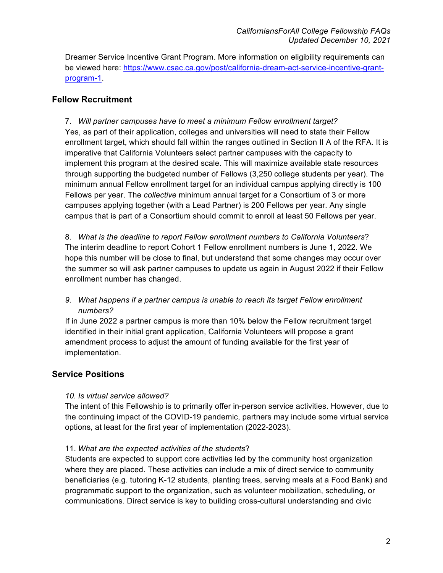Dreamer Service Incentive Grant Program. More information on eligibility requirements can be viewed here: https://www.csac.ca.gov/post/california-dream-act-service-incentive-grantprogram-1.

## **Fellow Recruitment**

7. *Will partner campuses have to meet a minimum Fellow enrollment target?* Yes, as part of their application, colleges and universities will need to state their Fellow enrollment target, which should fall within the ranges outlined in Section II A of the RFA. It is imperative that California Volunteers select partner campuses with the capacity to implement this program at the desired scale. This will maximize available state resources through supporting the budgeted number of Fellows (3,250 college students per year). The minimum annual Fellow enrollment target for an individual campus applying directly is 100 Fellows per year. The *collective* minimum annual target for a Consortium of 3 or more campuses applying together (with a Lead Partner) is 200 Fellows per year. Any single campus that is part of a Consortium should commit to enroll at least 50 Fellows per year.

8. *What is the deadline to report Fellow enrollment numbers to California Volunteers*? The interim deadline to report Cohort 1 Fellow enrollment numbers is June 1, 2022. We hope this number will be close to final, but understand that some changes may occur over the summer so will ask partner campuses to update us again in August 2022 if their Fellow enrollment number has changed.

### *9. What happens if a partner campus is unable to reach its target Fellow enrollment numbers?*

If in June 2022 a partner campus is more than 10% below the Fellow recruitment target identified in their initial grant application, California Volunteers will propose a grant amendment process to adjust the amount of funding available for the first year of implementation.

### **Service Positions**

### *10. Is virtual service allowed?*

The intent of this Fellowship is to primarily offer in-person service activities. However, due to the continuing impact of the COVID-19 pandemic, partners may include some virtual service options, at least for the first year of implementation (2022-2023).

#### 11. *What are the expected activities of the students*?

Students are expected to support core activities led by the community host organization where they are placed. These activities can include a mix of direct service to community beneficiaries (e.g. tutoring K-12 students, planting trees, serving meals at a Food Bank) and programmatic support to the organization, such as volunteer mobilization, scheduling, or communications. Direct service is key to building cross-cultural understanding and civic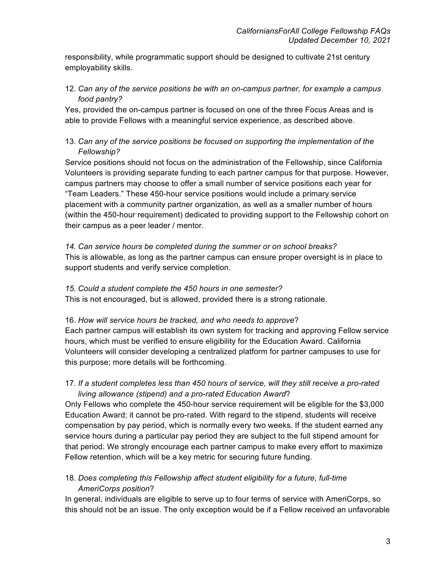responsibility, while programmatic support should be designed to cultivate 21st century employability skills.

### 12. *Can any of the service positions be with an on-campus partner, for example a campus food pantry?*

Yes, provided the on-campus partner is focused on one of the three Focus Areas and is able to provide Fellows with a meaningful service experience, as described above.

### 13. *Can any of the service positions be focused on supporting the implementation of the Fellowship?*

Service positions should not focus on the administration of the Fellowship, since California Volunteers is providing separate funding to each partner campus for that purpose. However, campus partners may choose to offer a small number of service positions each year for "Team Leaders." These 450-hour service positions would include a primary service placement with a community partner organization, as well as a smaller number of hours (within the 450-hour requirement) dedicated to providing support to the Fellowship cohort on their campus as a peer leader / mentor.

*14. Can service hours be completed during the summer or on school breaks?* This is allowable, as long as the partner campus can ensure proper oversight is in place to support students and verify service completion.

## *15. Could a student complete the 450 hours in one semester?*

This is not encouraged, but is allowed, provided there is a strong rationale.

#### 16. *How will service hours be tracked, and who needs to approve*?

Each partner campus will establish its own system for tracking and approving Fellow service hours, which must be verified to ensure eligibility for the Education Award. California Volunteers will consider developing a centralized platform for partner campuses to use for this purpose; more details will be forthcoming.

### 17. *If a student completes less than 450 hours of service, will they still receive a pro-rated living allowance (stipend) and a pro-rated Education Award*?

Only Fellows who complete the 450-hour service requirement will be eligible for the \$3,000 Education Award; it cannot be pro-rated. With regard to the stipend, students will receive compensation by pay period, which is normally every two weeks. If the student earned any service hours during a particular pay period they are subject to the full stipend amount for that period. We strongly encourage each partner campus to make every effort to maximize Fellow retention, which will be a key metric for securing future funding.

## 18. *Does completing this Fellowship affect student eligibility for a future, full-time AmeriCorps position*?

In general, individuals are eligible to serve up to four terms of service with AmeriCorps, so this should not be an issue. The only exception would be if a Fellow received an unfavorable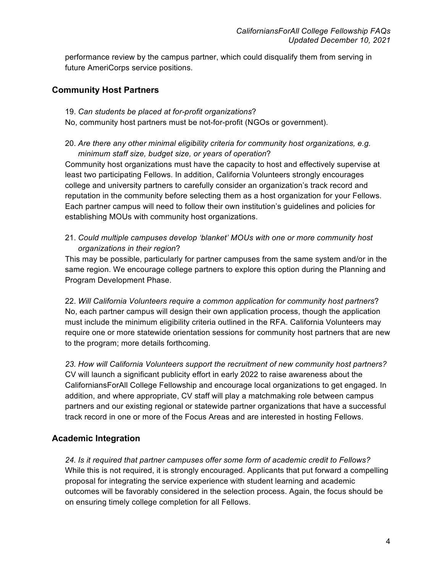performance review by the campus partner, which could disqualify them from serving in future AmeriCorps service positions.

### **Community Host Partners**

- 19. *Can students be placed at for-profit organizations*?
- No, community host partners must be not-for-profit (NGOs or government).
- 20. *Are there any other minimal eligibility criteria for community host organizations, e.g. minimum staff size, budget size, or years of operation*?

Community host organizations must have the capacity to host and effectively supervise at least two participating Fellows. In addition, California Volunteers strongly encourages college and university partners to carefully consider an organization's track record and reputation in the community before selecting them as a host organization for your Fellows. Each partner campus will need to follow their own institution's guidelines and policies for establishing MOUs with community host organizations.

21. *Could multiple campuses develop 'blanket' MOUs with one or more community host organizations in their region*?

This may be possible, particularly for partner campuses from the same system and/or in the same region. We encourage college partners to explore this option during the Planning and Program Development Phase.

22. *Will California Volunteers require a common application for community host partners*? No, each partner campus will design their own application process, though the application must include the minimum eligibility criteria outlined in the RFA. California Volunteers may require one or more statewide orientation sessions for community host partners that are new to the program; more details forthcoming.

*23. How will California Volunteers support the recruitment of new community host partners?* CV will launch a significant publicity effort in early 2022 to raise awareness about the CaliforniansForAll College Fellowship and encourage local organizations to get engaged. In addition, and where appropriate, CV staff will play a matchmaking role between campus partners and our existing regional or statewide partner organizations that have a successful track record in one or more of the Focus Areas and are interested in hosting Fellows.

## **Academic Integration**

*24. Is it required that partner campuses offer some form of academic credit to Fellows?* While this is not required, it is strongly encouraged. Applicants that put forward a compelling proposal for integrating the service experience with student learning and academic outcomes will be favorably considered in the selection process. Again, the focus should be on ensuring timely college completion for all Fellows.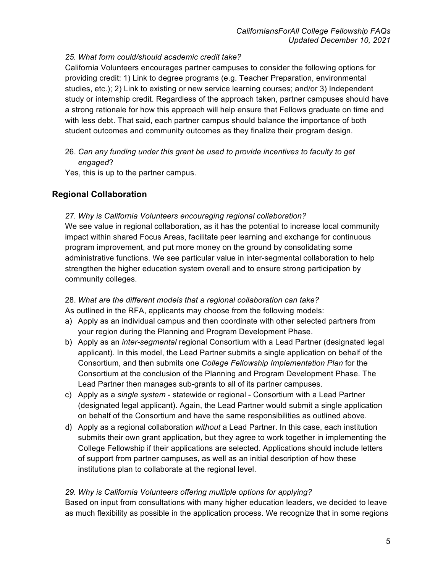#### *25. What form could/should academic credit take?*

California Volunteers encourages partner campuses to consider the following options for providing credit: 1) Link to degree programs (e.g. Teacher Preparation, environmental studies, etc.); 2) Link to existing or new service learning courses; and/or 3) Independent study or internship credit. Regardless of the approach taken, partner campuses should have a strong rationale for how this approach will help ensure that Fellows graduate on time and with less debt. That said, each partner campus should balance the importance of both student outcomes and community outcomes as they finalize their program design.

26. *Can any funding under this grant be used to provide incentives to faculty to get engaged*?

Yes, this is up to the partner campus.

## **Regional Collaboration**

#### *27. Why is California Volunteers encouraging regional collaboration?*

We see value in regional collaboration, as it has the potential to increase local community impact within shared Focus Areas, facilitate peer learning and exchange for continuous program improvement, and put more money on the ground by consolidating some administrative functions. We see particular value in inter-segmental collaboration to help strengthen the higher education system overall and to ensure strong participation by community colleges.

### 28. *What are the different models that a regional collaboration can take?*

As outlined in the RFA, applicants may choose from the following models:

- a) Apply as an individual campus and then coordinate with other selected partners from your region during the Planning and Program Development Phase.
- b) Apply as an *inter-segmental* regional Consortium with a Lead Partner (designated legal applicant). In this model, the Lead Partner submits a single application on behalf of the Consortium, and then submits one *College Fellowship Implementation Plan* for the Consortium at the conclusion of the Planning and Program Development Phase. The Lead Partner then manages sub-grants to all of its partner campuses.
- c) Apply as a *single system* statewide or regional Consortium with a Lead Partner (designated legal applicant). Again, the Lead Partner would submit a single application on behalf of the Consortium and have the same responsibilities as outlined above.
- d) Apply as a regional collaboration *without* a Lead Partner. In this case, each institution submits their own grant application, but they agree to work together in implementing the College Fellowship if their applications are selected. Applications should include letters of support from partner campuses, as well as an initial description of how these institutions plan to collaborate at the regional level.

#### *29. Why is California Volunteers offering multiple options for applying?*

Based on input from consultations with many higher education leaders, we decided to leave as much flexibility as possible in the application process. We recognize that in some regions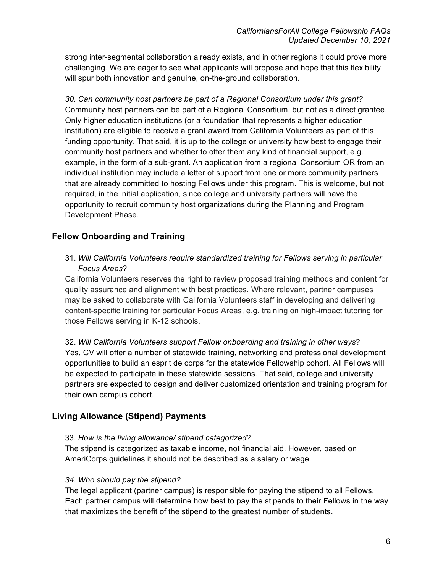strong inter-segmental collaboration already exists, and in other regions it could prove more challenging. We are eager to see what applicants will propose and hope that this flexibility will spur both innovation and genuine, on-the-ground collaboration.

*30. Can community host partners be part of a Regional Consortium under this grant?* Community host partners can be part of a Regional Consortium, but not as a direct grantee. Only higher education institutions (or a foundation that represents a higher education institution) are eligible to receive a grant award from California Volunteers as part of this funding opportunity. That said, it is up to the college or university how best to engage their community host partners and whether to offer them any kind of financial support, e.g. example, in the form of a sub-grant. An application from a regional Consortium OR from an individual institution may include a letter of support from one or more community partners that are already committed to hosting Fellows under this program. This is welcome, but not required, in the initial application, since college and university partners will have the opportunity to recruit community host organizations during the Planning and Program Development Phase.

## **Fellow Onboarding and Training**

31. *Will California Volunteers require standardized training for Fellows serving in particular Focus Areas*?

California Volunteers reserves the right to review proposed training methods and content for quality assurance and alignment with best practices. Where relevant, partner campuses may be asked to collaborate with California Volunteers staff in developing and delivering content-specific training for particular Focus Areas, e.g. training on high-impact tutoring for those Fellows serving in K-12 schools.

32. *Will California Volunteers support Fellow onboarding and training in other ways*? Yes, CV will offer a number of statewide training, networking and professional development opportunities to build an esprit de corps for the statewide Fellowship cohort. All Fellows will be expected to participate in these statewide sessions. That said, college and university partners are expected to design and deliver customized orientation and training program for their own campus cohort.

## **Living Allowance (Stipend) Payments**

### 33. *How is the living allowance/ stipend categorized*?

The stipend is categorized as taxable income, not financial aid. However, based on AmeriCorps guidelines it should not be described as a salary or wage.

### *34. Who should pay the stipend?*

The legal applicant (partner campus) is responsible for paying the stipend to all Fellows. Each partner campus will determine how best to pay the stipends to their Fellows in the way that maximizes the benefit of the stipend to the greatest number of students.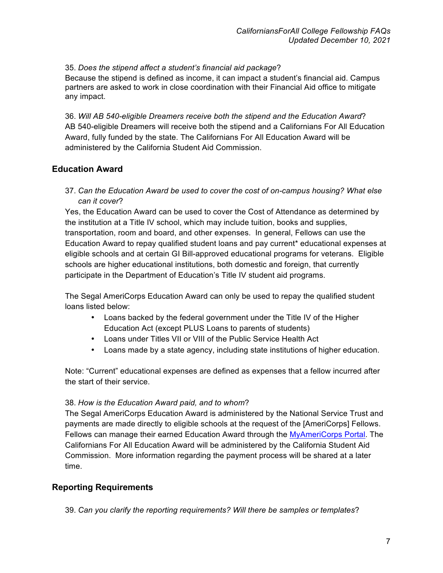35. *Does the stipend affect a student's financial aid package*?

Because the stipend is defined as income, it can impact a student's financial aid. Campus partners are asked to work in close coordination with their Financial Aid office to mitigate any impact.

36. *Will AB 540-eligible Dreamers receive both the stipend and the Education Award*? AB 540-eligible Dreamers will receive both the stipend and a Californians For All Education Award, fully funded by the state. The Californians For All Education Award will be administered by the California Student Aid Commission.

## **Education Award**

37. *Can the Education Award be used to cover the cost of on-campus housing? What else can it cover*?

Yes, the Education Award can be used to cover the Cost of Attendance as determined by the institution at a Title IV school, which may include tuition, books and supplies, transportation, room and board, and other expenses. In general, Fellows can use the Education Award to repay qualified student loans and pay current\* educational expenses at eligible schools and at certain GI Bill-approved educational programs for veterans. Eligible schools are higher educational institutions, both domestic and foreign, that currently participate in the Department of Education's Title IV student aid programs.

The Segal AmeriCorps Education Award can only be used to repay the qualified student loans listed below:

- Loans backed by the federal government under the Title IV of the Higher Education Act (except PLUS Loans to parents of students)
- Loans under Titles VII or VIII of the Public Service Health Act
- Loans made by a state agency, including state institutions of higher education.

Note: "Current" educational expenses are defined as expenses that a fellow incurred after the start of their service.

#### 38. *How is the Education Award paid, and to whom*?

The Segal AmeriCorps Education Award is administered by the National Service Trust and payments are made directly to eligible schools at the request of the [AmeriCorps] Fellows. Fellows can manage their earned Education Award through the MyAmeriCorps Portal. The Californians For All Education Award will be administered by the California Student Aid Commission. More information regarding the payment process will be shared at a later time.

### **Reporting Requirements**

39. *Can you clarify the reporting requirements? Will there be samples or templates*?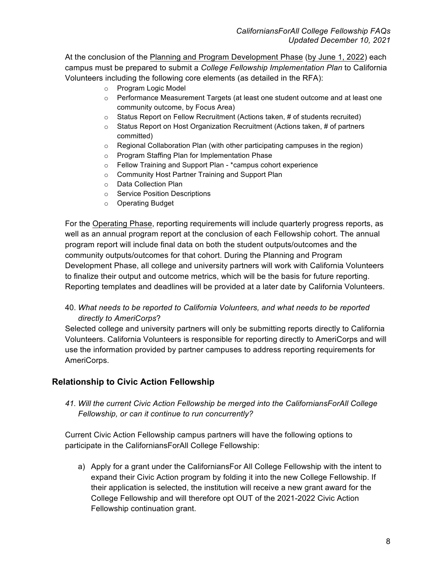At the conclusion of the Planning and Program Development Phase (by June 1, 2022) each campus must be prepared to submit a *College Fellowship Implementation Plan* to California Volunteers including the following core elements (as detailed in the RFA):

- o Program Logic Model
- o Performance Measurement Targets (at least one student outcome and at least one community outcome, by Focus Area)
- o Status Report on Fellow Recruitment (Actions taken, # of students recruited)
- $\circ$  Status Report on Host Organization Recruitment (Actions taken, # of partners committed)
- $\circ$  Regional Collaboration Plan (with other participating campuses in the region)
- o Program Staffing Plan for Implementation Phase
- o Fellow Training and Support Plan \*campus cohort experience
- o Community Host Partner Training and Support Plan
- o Data Collection Plan
- o Service Position Descriptions
- o Operating Budget

For the Operating Phase, reporting requirements will include quarterly progress reports, as well as an annual program report at the conclusion of each Fellowship cohort. The annual program report will include final data on both the student outputs/outcomes and the community outputs/outcomes for that cohort. During the Planning and Program Development Phase, all college and university partners will work with California Volunteers to finalize their output and outcome metrics, which will be the basis for future reporting. Reporting templates and deadlines will be provided at a later date by California Volunteers.

### 40. *What needs to be reported to California Volunteers, and what needs to be reported directly to AmeriCorps*?

Selected college and university partners will only be submitting reports directly to California Volunteers. California Volunteers is responsible for reporting directly to AmeriCorps and will use the information provided by partner campuses to address reporting requirements for AmeriCorps.

### **Relationship to Civic Action Fellowship**

*41. Will the current Civic Action Fellowship be merged into the CaliforniansForAll College Fellowship, or can it continue to run concurrently?*

Current Civic Action Fellowship campus partners will have the following options to participate in the CaliforniansForAll College Fellowship:

a) Apply for a grant under the CaliforniansFor All College Fellowship with the intent to expand their Civic Action program by folding it into the new College Fellowship. If their application is selected, the institution will receive a new grant award for the College Fellowship and will therefore opt OUT of the 2021-2022 Civic Action Fellowship continuation grant.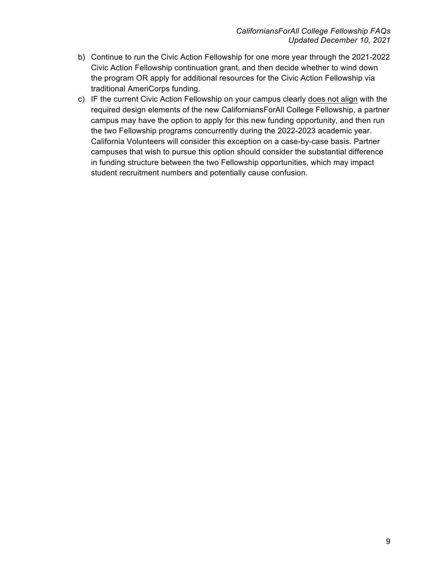- b) Continue to run the Civic Action Fellowship for one more year through the 2021-2022 Civic Action Fellowship continuation grant, and then decide whether to wind down the program OR apply for additional resources for the Civic Action Fellowship via traditional AmeriCorps funding.
- c) IF the current Civic Action Fellowship on your campus clearly does not align with the required design elements of the new CaliforniansForAll College Fellowship, a partner campus may have the option to apply for this new funding opportunity, and then run the two Fellowship programs concurrently during the 2022-2023 academic year. California Volunteers will consider this exception on a case-by-case basis. Partner campuses that wish to pursue this option should consider the substantial difference in funding structure between the two Fellowship opportunities, which may impact student recruitment numbers and potentially cause confusion.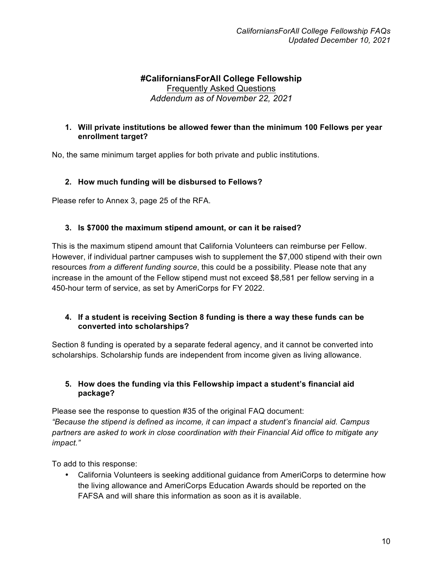## **#CaliforniansForAll College Fellowship** Frequently Asked Questions *Addendum as of November 22, 2021*

#### **1. Will private institutions be allowed fewer than the minimum 100 Fellows per year enrollment target?**

No, the same minimum target applies for both private and public institutions.

### **2. How much funding will be disbursed to Fellows?**

Please refer to Annex 3, page 25 of the RFA.

#### **3. Is \$7000 the maximum stipend amount, or can it be raised?**

This is the maximum stipend amount that California Volunteers can reimburse per Fellow. However, if individual partner campuses wish to supplement the \$7,000 stipend with their own resources *from a different funding source*, this could be a possibility. Please note that any increase in the amount of the Fellow stipend must not exceed \$8,581 per fellow serving in a 450-hour term of service, as set by AmeriCorps for FY 2022.

#### **4. If a student is receiving Section 8 funding is there a way these funds can be converted into scholarships?**

Section 8 funding is operated by a separate federal agency, and it cannot be converted into scholarships. Scholarship funds are independent from income given as living allowance.

#### **5. How does the funding via this Fellowship impact a student's financial aid package?**

Please see the response to question #35 of the original FAQ document: *"Because the stipend is defined as income, it can impact a student's financial aid. Campus partners are asked to work in close coordination with their Financial Aid office to mitigate any impact."*

To add to this response:

• California Volunteers is seeking additional guidance from AmeriCorps to determine how the living allowance and AmeriCorps Education Awards should be reported on the FAFSA and will share this information as soon as it is available.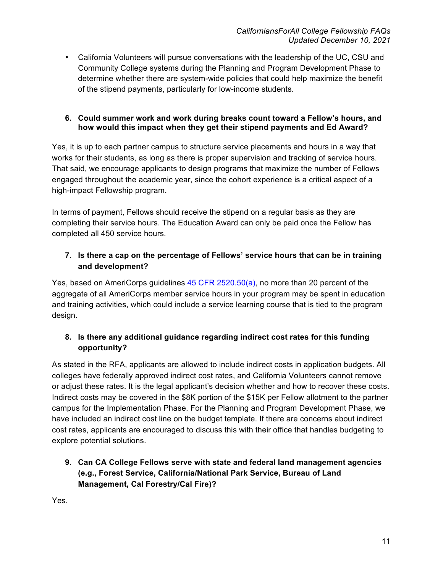• California Volunteers will pursue conversations with the leadership of the UC, CSU and Community College systems during the Planning and Program Development Phase to determine whether there are system-wide policies that could help maximize the benefit of the stipend payments, particularly for low-income students.

#### **6. Could summer work and work during breaks count toward a Fellow's hours, and how would this impact when they get their stipend payments and Ed Award?**

Yes, it is up to each partner campus to structure service placements and hours in a way that works for their students, as long as there is proper supervision and tracking of service hours. That said, we encourage applicants to design programs that maximize the number of Fellows engaged throughout the academic year, since the cohort experience is a critical aspect of a high-impact Fellowship program.

In terms of payment, Fellows should receive the stipend on a regular basis as they are completing their service hours. The Education Award can only be paid once the Fellow has completed all 450 service hours.

## **7. Is there a cap on the percentage of Fellows' service hours that can be in training and development?**

Yes, based on AmeriCorps guidelines 45 CFR 2520.50(a), no more than 20 percent of the aggregate of all AmeriCorps member service hours in your program may be spent in education and training activities, which could include a service learning course that is tied to the program design.

## **8. Is there any additional guidance regarding indirect cost rates for this funding opportunity?**

As stated in the RFA, applicants are allowed to include indirect costs in application budgets. All colleges have federally approved indirect cost rates, and California Volunteers cannot remove or adjust these rates. It is the legal applicant's decision whether and how to recover these costs. Indirect costs may be covered in the \$8K portion of the \$15K per Fellow allotment to the partner campus for the Implementation Phase. For the Planning and Program Development Phase, we have included an indirect cost line on the budget template. If there are concerns about indirect cost rates, applicants are encouraged to discuss this with their office that handles budgeting to explore potential solutions.

## **9. Can CA College Fellows serve with state and federal land management agencies (e.g., Forest Service, California/National Park Service, Bureau of Land Management, Cal Forestry/Cal Fire)?**

Yes.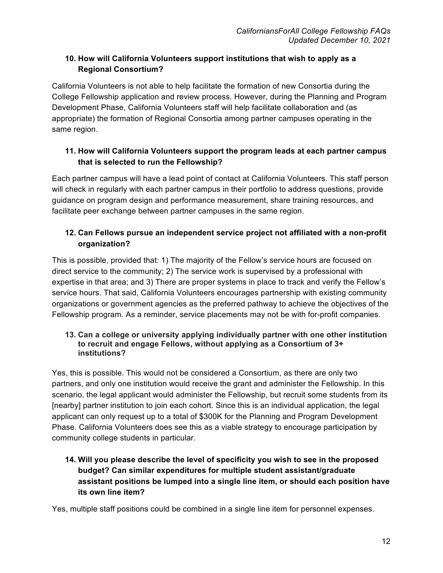## **10. How will California Volunteers support institutions that wish to apply as a Regional Consortium?**

California Volunteers is not able to help facilitate the formation of new Consortia during the College Fellowship application and review process. However, during the Planning and Program Development Phase, California Volunteers staff will help facilitate collaboration and (as appropriate) the formation of Regional Consortia among partner campuses operating in the same region.

## **11. How will California Volunteers support the program leads at each partner campus that is selected to run the Fellowship?**

Each partner campus will have a lead point of contact at California Volunteers. This staff person will check in regularly with each partner campus in their portfolio to address questions, provide guidance on program design and performance measurement, share training resources, and facilitate peer exchange between partner campuses in the same region.

## **12. Can Fellows pursue an independent service project not affiliated with a non-profit organization?**

This is possible, provided that: 1) The majority of the Fellow's service hours are focused on direct service to the community; 2) The service work is supervised by a professional with expertise in that area; and 3) There are proper systems in place to track and verify the Fellow's service hours. That said, California Volunteers encourages partnership with existing community organizations or government agencies as the preferred pathway to achieve the objectives of the Fellowship program. As a reminder, service placements may not be with for-profit companies.

#### **13. Can a college or university applying individually partner with one other institution to recruit and engage Fellows, without applying as a Consortium of 3+ institutions?**

Yes, this is possible. This would not be considered a Consortium, as there are only two partners, and only one institution would receive the grant and administer the Fellowship. In this scenario, the legal applicant would administer the Fellowship, but recruit some students from its [nearby] partner institution to join each cohort. Since this is an individual application, the legal applicant can only request up to a total of \$300K for the Planning and Program Development Phase. California Volunteers does see this as a viable strategy to encourage participation by community college students in particular.

## **14. Will you please describe the level of specificity you wish to see in the proposed budget? Can similar expenditures for multiple student assistant/graduate assistant positions be lumped into a single line item, or should each position have its own line item?**

Yes, multiple staff positions could be combined in a single line item for personnel expenses.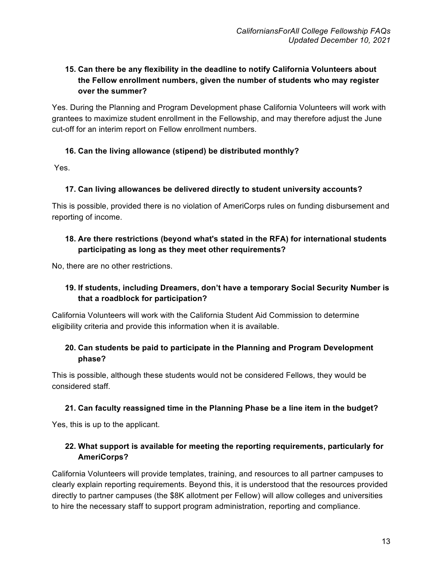## **15. Can there be any flexibility in the deadline to notify California Volunteers about the Fellow enrollment numbers, given the number of students who may register over the summer?**

Yes. During the Planning and Program Development phase California Volunteers will work with grantees to maximize student enrollment in the Fellowship, and may therefore adjust the June cut-off for an interim report on Fellow enrollment numbers.

### **16. Can the living allowance (stipend) be distributed monthly?**

Yes.

### **17. Can living allowances be delivered directly to student university accounts?**

This is possible, provided there is no violation of AmeriCorps rules on funding disbursement and reporting of income.

### **18. Are there restrictions (beyond what's stated in the RFA) for international students participating as long as they meet other requirements?**

No, there are no other restrictions.

## **19. If students, including Dreamers, don't have a temporary Social Security Number is that a roadblock for participation?**

California Volunteers will work with the California Student Aid Commission to determine eligibility criteria and provide this information when it is available.

## **20. Can students be paid to participate in the Planning and Program Development phase?**

This is possible, although these students would not be considered Fellows, they would be considered staff.

### **21. Can faculty reassigned time in the Planning Phase be a line item in the budget?**

Yes, this is up to the applicant.

## **22. What support is available for meeting the reporting requirements, particularly for AmeriCorps?**

California Volunteers will provide templates, training, and resources to all partner campuses to clearly explain reporting requirements. Beyond this, it is understood that the resources provided directly to partner campuses (the \$8K allotment per Fellow) will allow colleges and universities to hire the necessary staff to support program administration, reporting and compliance.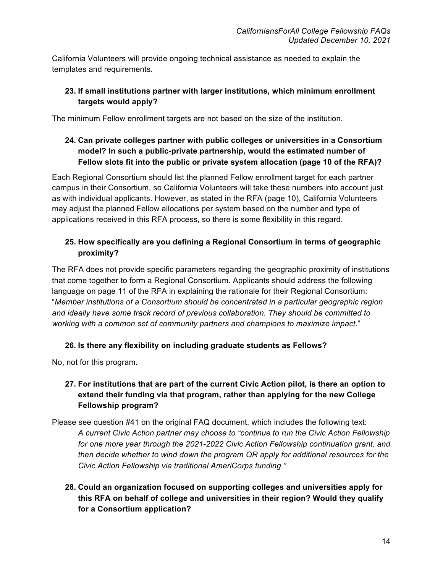California Volunteers will provide ongoing technical assistance as needed to explain the templates and requirements.

## **23. If small institutions partner with larger institutions, which minimum enrollment targets would apply?**

The minimum Fellow enrollment targets are not based on the size of the institution.

## **24. Can private colleges partner with public colleges or universities in a Consortium model? In such a public-private partnership, would the estimated number of Fellow slots fit into the public or private system allocation (page 10 of the RFA)?**

Each Regional Consortium should list the planned Fellow enrollment target for each partner campus in their Consortium, so California Volunteers will take these numbers into account just as with individual applicants. However, as stated in the RFA (page 10), California Volunteers may adjust the planned Fellow allocations per system based on the number and type of applications received in this RFA process, so there is some flexibility in this regard.

## **25. How specifically are you defining a Regional Consortium in terms of geographic proximity?**

The RFA does not provide specific parameters regarding the geographic proximity of institutions that come together to form a Regional Consortium. Applicants should address the following language on page 11 of the RFA in explaining the rationale for their Regional Consortium: "*Member institutions of a Consortium should be concentrated in a particular geographic region and ideally have some track record of previous collaboration. They should be committed to working with a common set of community partners and champions to maximize impact*."

## **26. Is there any flexibility on including graduate students as Fellows?**

No, not for this program.

## **27. For institutions that are part of the current Civic Action pilot, is there an option to extend their funding via that program, rather than applying for the new College Fellowship program?**

- Please see question #41 on the original FAQ document, which includes the following text: *A current Civic Action partner may choose to "continue to run the Civic Action Fellowship*  for one more year through the 2021-2022 Civic Action Fellowship continuation grant, and *then decide whether to wind down the program OR apply for additional resources for the Civic Action Fellowship via traditional AmeriCorps funding."*
	- **28. Could an organization focused on supporting colleges and universities apply for this RFA on behalf of college and universities in their region? Would they qualify for a Consortium application?**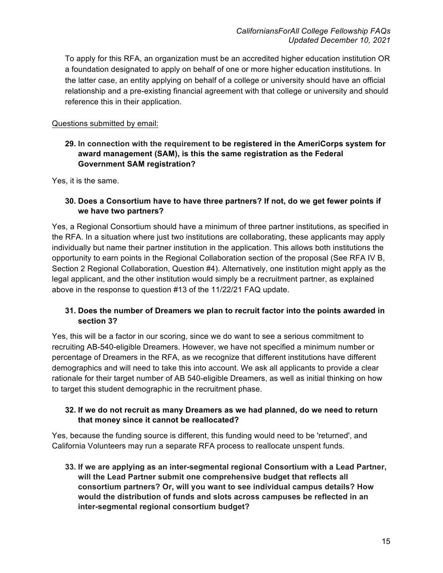To apply for this RFA, an organization must be an accredited higher education institution OR a foundation designated to apply on behalf of one or more higher education institutions. In the latter case, an entity applying on behalf of a college or university should have an official relationship and a pre-existing financial agreement with that college or university and should reference this in their application.

#### Questions submitted by email:

### **29. In connection with the requirement to be registered in the AmeriCorps system for award management (SAM), is this the same registration as the Federal Government SAM registration?**

Yes, it is the same.

#### **30. Does a Consortium have to have three partners? If not, do we get fewer points if we have two partners?**

Yes, a Regional Consortium should have a minimum of three partner institutions, as specified in the RFA. In a situation where just two institutions are collaborating, these applicants may apply individually but name their partner institution in the application. This allows both institutions the opportunity to earn points in the Regional Collaboration section of the proposal (See RFA IV B, Section 2 Regional Collaboration, Question #4). Alternatively, one institution might apply as the legal applicant, and the other institution would simply be a recruitment partner, as explained above in the response to question #13 of the 11/22/21 FAQ update.

#### **31. Does the number of Dreamers we plan to recruit factor into the points awarded in section 3?**

Yes, this will be a factor in our scoring, since we do want to see a serious commitment to recruiting AB-540-eligible Dreamers. However, we have not specified a minimum number or percentage of Dreamers in the RFA, as we recognize that different institutions have different demographics and will need to take this into account. We ask all applicants to provide a clear rationale for their target number of AB 540-eligible Dreamers, as well as initial thinking on how to target this student demographic in the recruitment phase.

### **32. If we do not recruit as many Dreamers as we had planned, do we need to return that money since it cannot be reallocated?**

Yes, because the funding source is different, this funding would need to be 'returned', and California Volunteers may run a separate RFA process to reallocate unspent funds.

**33. If we are applying as an inter-segmental regional Consortium with a Lead Partner, will the Lead Partner submit one comprehensive budget that reflects all consortium partners? Or, will you want to see individual campus details? How would the distribution of funds and slots across campuses be reflected in an inter-segmental regional consortium budget?**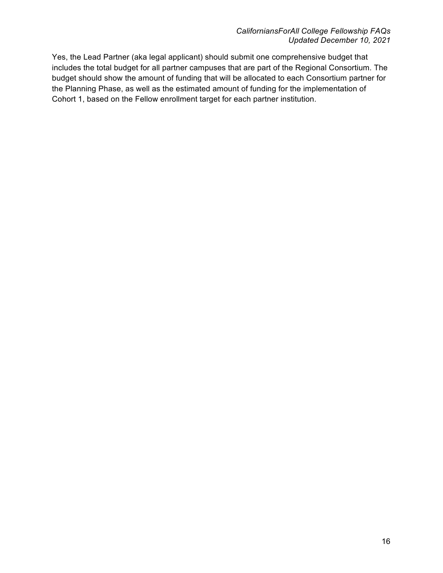Yes, the Lead Partner (aka legal applicant) should submit one comprehensive budget that includes the total budget for all partner campuses that are part of the Regional Consortium. The budget should show the amount of funding that will be allocated to each Consortium partner for the Planning Phase, as well as the estimated amount of funding for the implementation of Cohort 1, based on the Fellow enrollment target for each partner institution.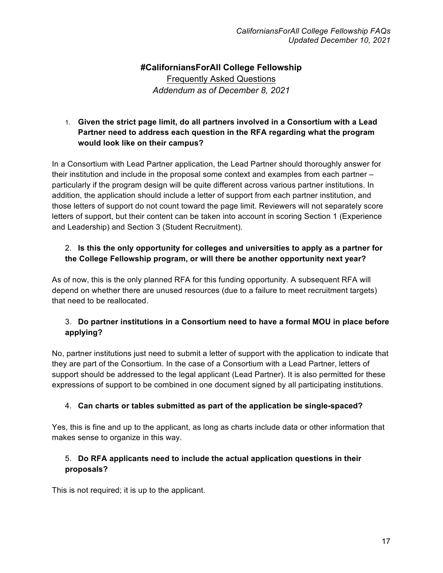# **#CaliforniansForAll College Fellowship** Frequently Asked Questions *Addendum as of December 8, 2021*

### 1. **Given the strict page limit, do all partners involved in a Consortium with a Lead Partner need to address each question in the RFA regarding what the program would look like on their campus?**

In a Consortium with Lead Partner application, the Lead Partner should thoroughly answer for their institution and include in the proposal some context and examples from each partner – particularly if the program design will be quite different across various partner institutions. In addition, the application should include a letter of support from each partner institution, and those letters of support do not count toward the page limit. Reviewers will not separately score letters of support, but their content can be taken into account in scoring Section 1 (Experience and Leadership) and Section 3 (Student Recruitment).

## 2. **Is this the only opportunity for colleges and universities to apply as a partner for the College Fellowship program, or will there be another opportunity next year?**

As of now, this is the only planned RFA for this funding opportunity. A subsequent RFA will depend on whether there are unused resources (due to a failure to meet recruitment targets) that need to be reallocated.

## 3. **Do partner institutions in a Consortium need to have a formal MOU in place before applying?**

No, partner institutions just need to submit a letter of support with the application to indicate that they are part of the Consortium. In the case of a Consortium with a Lead Partner, letters of support should be addressed to the legal applicant (Lead Partner). It is also permitted for these expressions of support to be combined in one document signed by all participating institutions.

## 4. **Can charts or tables submitted as part of the application be single-spaced?**

Yes, this is fine and up to the applicant, as long as charts include data or other information that makes sense to organize in this way.

## 5. **Do RFA applicants need to include the actual application questions in their proposals?**

This is not required; it is up to the applicant.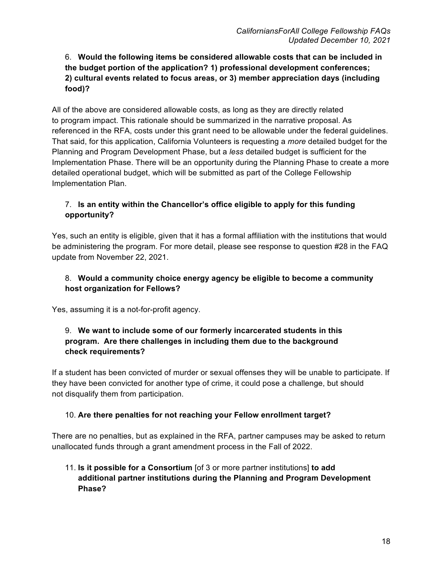## 6. **Would the following items be considered allowable costs that can be included in the budget portion of the application? 1) professional development conferences; 2) cultural events related to focus areas, or 3) member appreciation days (including food)?**

All of the above are considered allowable costs, as long as they are directly related to program impact. This rationale should be summarized in the narrative proposal. As referenced in the RFA, costs under this grant need to be allowable under the federal guidelines. That said, for this application, California Volunteers is requesting a *more* detailed budget for the Planning and Program Development Phase, but a *less* detailed budget is sufficient for the Implementation Phase. There will be an opportunity during the Planning Phase to create a more detailed operational budget, which will be submitted as part of the College Fellowship Implementation Plan.

## 7. **Is an entity within the Chancellor's office eligible to apply for this funding opportunity?**

Yes, such an entity is eligible, given that it has a formal affiliation with the institutions that would be administering the program. For more detail, please see response to question #28 in the FAQ update from November 22, 2021.

### 8. **Would a community choice energy agency be eligible to become a community host organization for Fellows?**

Yes, assuming it is a not-for-profit agency.

## 9. **We want to include some of our formerly incarcerated students in this program. Are there challenges in including them due to the background check requirements?**

If a student has been convicted of murder or sexual offenses they will be unable to participate. If they have been convicted for another type of crime, it could pose a challenge, but should not disqualify them from participation.

## 10. **Are there penalties for not reaching your Fellow enrollment target?**

There are no penalties, but as explained in the RFA, partner campuses may be asked to return unallocated funds through a grant amendment process in the Fall of 2022.

## 11. **Is it possible for a Consortium** [of 3 or more partner institutions] **to add additional partner institutions during the Planning and Program Development Phase?**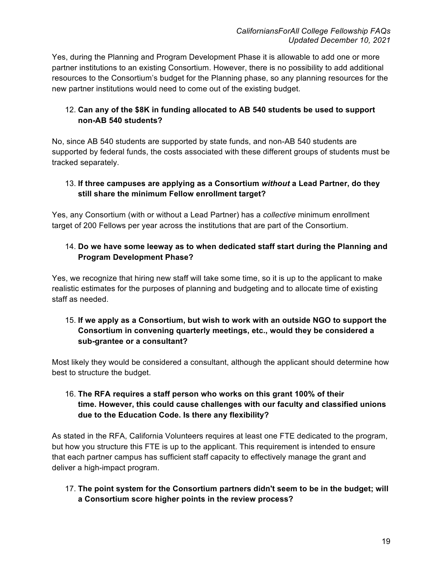Yes, during the Planning and Program Development Phase it is allowable to add one or more partner institutions to an existing Consortium. However, there is no possibility to add additional resources to the Consortium's budget for the Planning phase, so any planning resources for the new partner institutions would need to come out of the existing budget.

## 12. **Can any of the \$8K in funding allocated to AB 540 students be used to support non-AB 540 students?**

No, since AB 540 students are supported by state funds, and non-AB 540 students are supported by federal funds, the costs associated with these different groups of students must be tracked separately.

### 13. **If three campuses are applying as a Consortium** *without* **a Lead Partner, do they still share the minimum Fellow enrollment target?**

Yes, any Consortium (with or without a Lead Partner) has a *collective* minimum enrollment target of 200 Fellows per year across the institutions that are part of the Consortium.

## 14. **Do we have some leeway as to when dedicated staff start during the Planning and Program Development Phase?**

Yes, we recognize that hiring new staff will take some time, so it is up to the applicant to make realistic estimates for the purposes of planning and budgeting and to allocate time of existing staff as needed.

## 15. **If we apply as a Consortium, but wish to work with an outside NGO to support the Consortium in convening quarterly meetings, etc., would they be considered a sub-grantee or a consultant?**

Most likely they would be considered a consultant, although the applicant should determine how best to structure the budget.

### 16. **The RFA requires a staff person who works on this grant 100% of their time. However, this could cause challenges with our faculty and classified unions due to the Education Code. Is there any flexibility?**

As stated in the RFA, California Volunteers requires at least one FTE dedicated to the program, but how you structure this FTE is up to the applicant. This requirement is intended to ensure that each partner campus has sufficient staff capacity to effectively manage the grant and deliver a high-impact program.

17. **The point system for the Consortium partners didn't seem to be in the budget; will a Consortium score higher points in the review process?**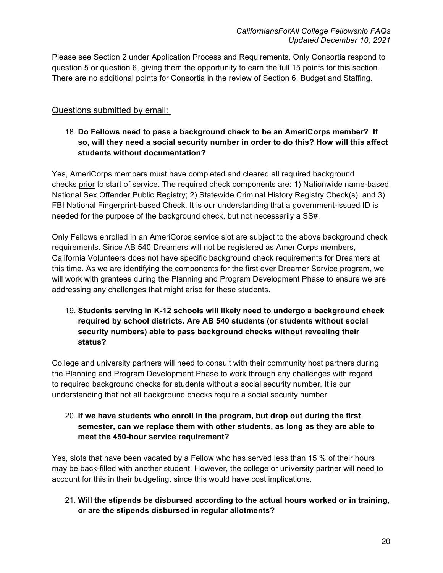Please see Section 2 under Application Process and Requirements. Only Consortia respond to question 5 or question 6, giving them the opportunity to earn the full 15 points for this section. There are no additional points for Consortia in the review of Section 6, Budget and Staffing.

## Questions submitted by email:

### 18. **Do Fellows need to pass a background check to be an AmeriCorps member? If so, will they need a social security number in order to do this? How will this affect students without documentation?**

Yes, AmeriCorps members must have completed and cleared all required background checks prior to start of service. The required check components are: 1) Nationwide name-based National Sex Offender Public Registry; 2) Statewide Criminal History Registry Check(s); and 3) FBI National Fingerprint-based Check. It is our understanding that a government-issued ID is needed for the purpose of the background check, but not necessarily a SS#.

Only Fellows enrolled in an AmeriCorps service slot are subject to the above background check requirements. Since AB 540 Dreamers will not be registered as AmeriCorps members, California Volunteers does not have specific background check requirements for Dreamers at this time. As we are identifying the components for the first ever Dreamer Service program, we will work with grantees during the Planning and Program Development Phase to ensure we are addressing any challenges that might arise for these students.

19. **Students serving in K-12 schools will likely need to undergo a background check required by school districts. Are AB 540 students (or students without social security numbers) able to pass background checks without revealing their status?** 

College and university partners will need to consult with their community host partners during the Planning and Program Development Phase to work through any challenges with regard to required background checks for students without a social security number. It is our understanding that not all background checks require a social security number.

20. **If we have students who enroll in the program, but drop out during the first semester, can we replace them with other students, as long as they are able to meet the 450-hour service requirement?**

Yes, slots that have been vacated by a Fellow who has served less than 15 % of their hours may be back-filled with another student. However, the college or university partner will need to account for this in their budgeting, since this would have cost implications.

21. **Will the stipends be disbursed according to the actual hours worked or in training, or are the stipends disbursed in regular allotments?**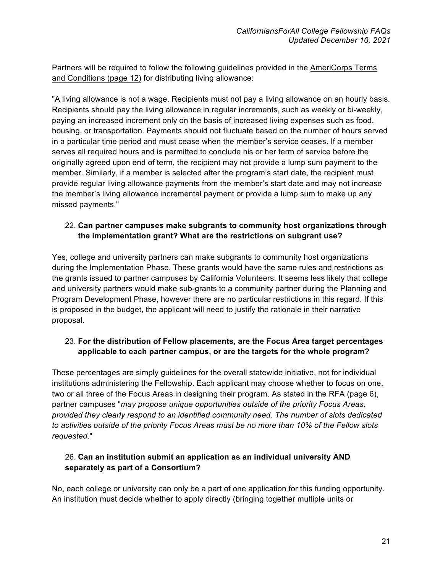Partners will be required to follow the following guidelines provided in the AmeriCorps Terms and Conditions (page 12) for distributing living allowance:

"A living allowance is not a wage. Recipients must not pay a living allowance on an hourly basis. Recipients should pay the living allowance in regular increments, such as weekly or bi-weekly, paying an increased increment only on the basis of increased living expenses such as food, housing, or transportation. Payments should not fluctuate based on the number of hours served in a particular time period and must cease when the member's service ceases. If a member serves all required hours and is permitted to conclude his or her term of service before the originally agreed upon end of term, the recipient may not provide a lump sum payment to the member. Similarly, if a member is selected after the program's start date, the recipient must provide regular living allowance payments from the member's start date and may not increase the member's living allowance incremental payment or provide a lump sum to make up any missed payments."

### 22. **Can partner campuses make subgrants to community host organizations through the implementation grant? What are the restrictions on subgrant use?**

Yes, college and university partners can make subgrants to community host organizations during the Implementation Phase. These grants would have the same rules and restrictions as the grants issued to partner campuses by California Volunteers. It seems less likely that college and university partners would make sub-grants to a community partner during the Planning and Program Development Phase, however there are no particular restrictions in this regard. If this is proposed in the budget, the applicant will need to justify the rationale in their narrative proposal.

## 23. **For the distribution of Fellow placements, are the Focus Area target percentages applicable to each partner campus, or are the targets for the whole program?**

These percentages are simply guidelines for the overall statewide initiative, not for individual institutions administering the Fellowship. Each applicant may choose whether to focus on one, two or all three of the Focus Areas in designing their program. As stated in the RFA (page 6), partner campuses "*may propose unique opportunities outside of the priority Focus Areas, provided they clearly respond to an identified community need. The number of slots dedicated to activities outside of the priority Focus Areas must be no more than 10% of the Fellow slots requested*."

## 26. **Can an institution submit an application as an individual university AND separately as part of a Consortium?**

No, each college or university can only be a part of one application for this funding opportunity. An institution must decide whether to apply directly (bringing together multiple units or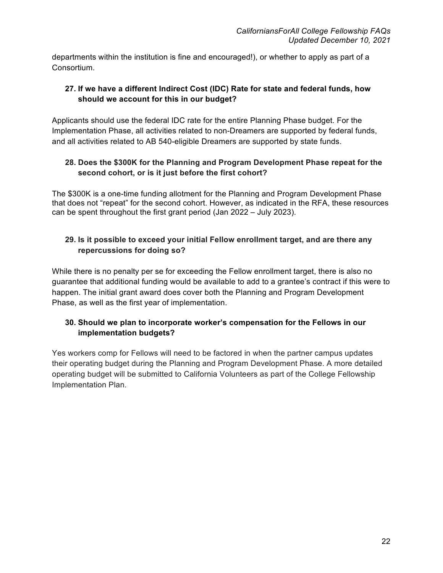departments within the institution is fine and encouraged!), or whether to apply as part of a Consortium.

## **27. If we have a different Indirect Cost (IDC) Rate for state and federal funds, how should we account for this in our budget?**

Applicants should use the federal IDC rate for the entire Planning Phase budget. For the Implementation Phase, all activities related to non-Dreamers are supported by federal funds, and all activities related to AB 540-eligible Dreamers are supported by state funds.

## **28. Does the \$300K for the Planning and Program Development Phase repeat for the second cohort, or is it just before the first cohort?**

The \$300K is a one-time funding allotment for the Planning and Program Development Phase that does not "repeat" for the second cohort. However, as indicated in the RFA, these resources can be spent throughout the first grant period (Jan 2022 – July 2023).

### **29. Is it possible to exceed your initial Fellow enrollment target, and are there any repercussions for doing so?**

While there is no penalty per se for exceeding the Fellow enrollment target, there is also no guarantee that additional funding would be available to add to a grantee's contract if this were to happen. The initial grant award does cover both the Planning and Program Development Phase, as well as the first year of implementation.

## **30. Should we plan to incorporate worker's compensation for the Fellows in our implementation budgets?**

Yes workers comp for Fellows will need to be factored in when the partner campus updates their operating budget during the Planning and Program Development Phase. A more detailed operating budget will be submitted to California Volunteers as part of the College Fellowship Implementation Plan.